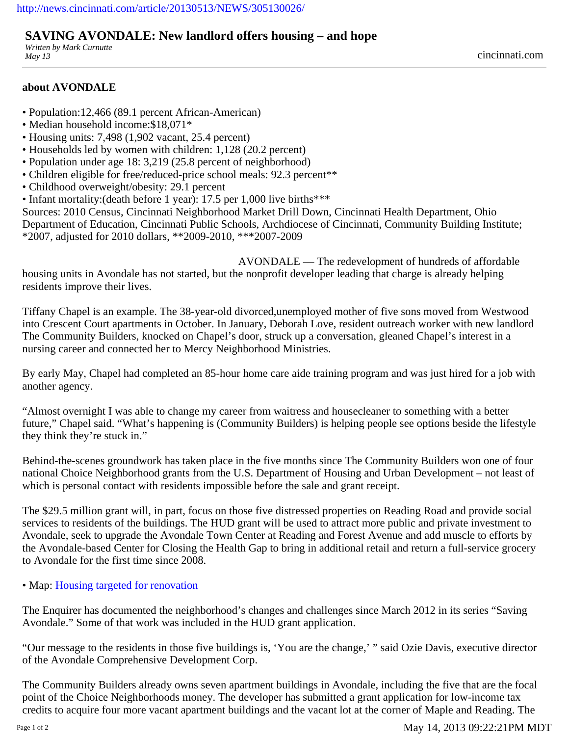## **SAVING AVONDALE: New landlord offers housing – and hope**

*Written by Mark Curnutte May 13* cincinnati.com

## **about AVONDALE**

- Population:12,466 (89.1 percent African-American)
- Median household income:\$18,071\*
- Housing units: 7,498 (1,902 vacant, 25.4 percent)
- Households led by women with children: 1,128 (20.2 percent)
- Population under age 18: 3,219 (25.8 percent of neighborhood)
- Children eligible for free/reduced-price school meals: 92.3 percent\*\*
- Childhood overweight/obesity: 29.1 percent
- Infant mortality:(death before 1 year): 17.5 per 1,000 live births\*\*\*

Sources: 2010 Census, Cincinnati Neighborhood Market Drill Down, Cincinnati Health Department, Ohio Department of Education, Cincinnati Public Schools, Archdiocese of Cincinnati, Community Building Institute; \*2007, adjusted for 2010 dollars, \*\*2009-2010, \*\*\*2007-2009

AVONDALE — The redevelopment of hundreds of affordable housing units in Avondale has not started, but the nonprofit developer leading that charge is already helping residents improve their lives.

Tiffany Chapel is an example. The 38-year-old divorced,unemployed mother of five sons moved from Westwood into Crescent Court apartments in October. In January, Deborah Love, resident outreach worker with new landlord The Community Builders, knocked on Chapel's door, struck up a conversation, gleaned Chapel's interest in a nursing career and connected her to Mercy Neighborhood Ministries.

By early May, Chapel had completed an 85-hour home care aide training program and was just hired for a job with another agency.

"Almost overnight I was able to change my career from waitress and housecleaner to something with a better future," Chapel said. "What's happening is (Community Builders) is helping people see options beside the lifestyle they think they're stuck in."

Behind-the-scenes groundwork has taken place in the five months since The Community Builders won one of four national Choice Neighborhood grants from the U.S. Department of Housing and Urban Development – not least of which is personal contact with residents impossible before the sale and grant receipt.

The \$29.5 million grant will, in part, focus on those five distressed properties on Reading Road and provide social services to residents of the buildings. The HUD grant will be used to attract more public and private investment to Avondale, seek to upgrade the Avondale Town Center at Reading and Forest Avenue and add muscle to efforts by the Avondale-based Center for Closing the Health Gap to bring in additional retail and return a full-service grocery to Avondale for the first time since 2008.

## • Map: [Housing targeted for renovation](http://news.cincinnati.com/interactive/article/20130510/CINCI/130510035/Map-Housing-targeted-renovation)

The Enquirer has documented the neighborhood's changes and challenges since March 2012 in its series "Saving Avondale." Some of that work was included in the HUD grant application.

"Our message to the residents in those five buildings is, 'You are the change,' " said Ozie Davis, executive director of the Avondale Comprehensive Development Corp.

The Community Builders already owns seven apartment buildings in Avondale, including the five that are the focal point of the Choice Neighborhoods money. The developer has submitted a grant application for low-income tax credits to acquire four more vacant apartment buildings and the vacant lot at the corner of Maple and Reading. The